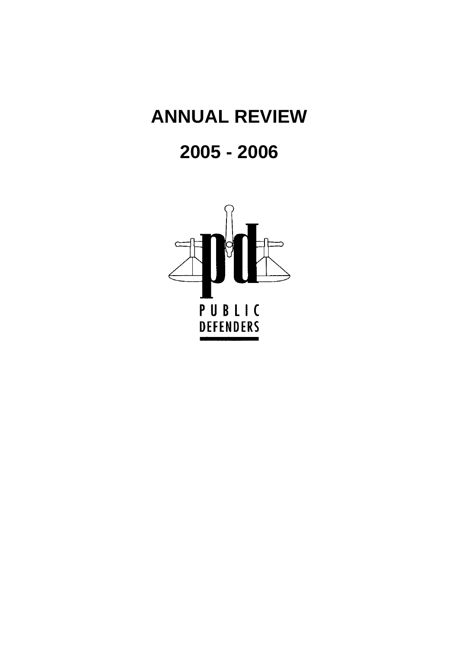# **ANNUAL REVIEW**

# **2005 - 2006**

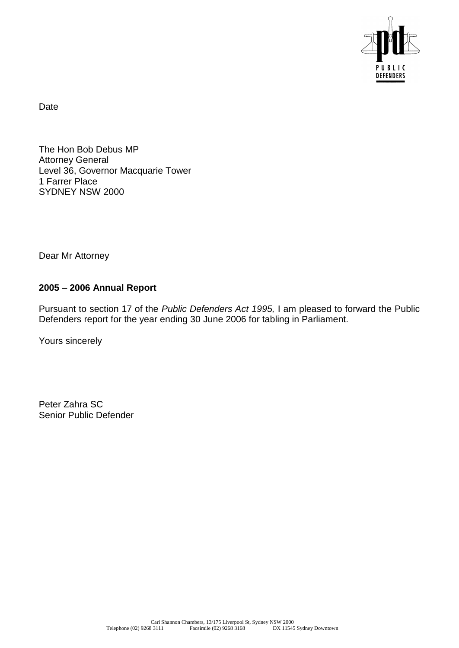

Date

The Hon Bob Debus MP Attorney General Level 36, Governor Macquarie Tower 1 Farrer Place SYDNEY NSW 2000

Dear Mr Attorney

# **2005 – 2006 Annual Report**

Pursuant to section 17 of the *Public Defenders Act 1995,* I am pleased to forward the Public Defenders report for the year ending 30 June 2006 for tabling in Parliament.

Yours sincerely

Peter Zahra SC Senior Public Defender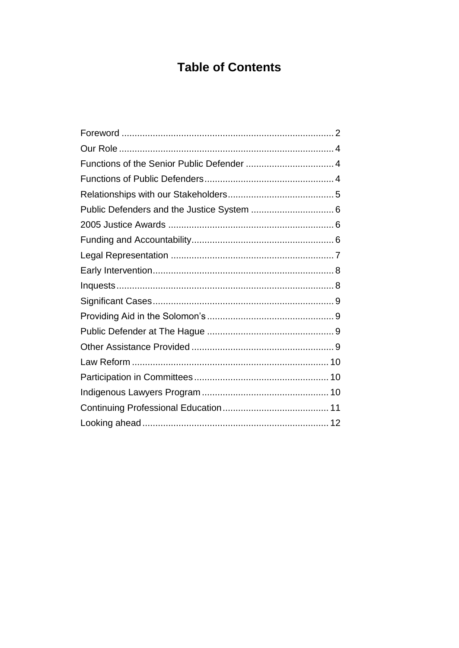# **Table of Contents**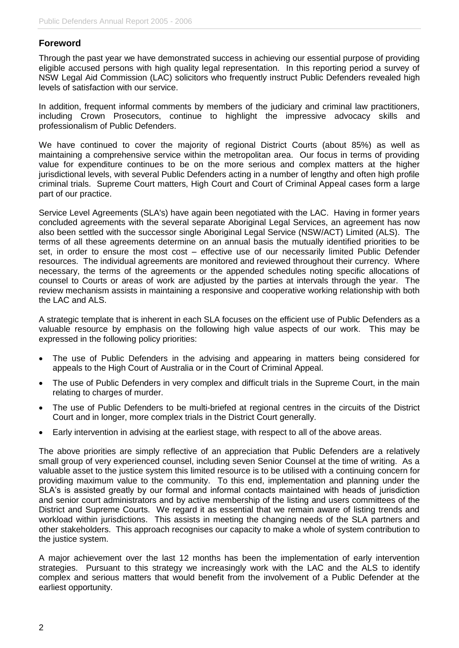# <span id="page-5-0"></span>**Foreword**

Through the past year we have demonstrated success in achieving our essential purpose of providing eligible accused persons with high quality legal representation. In this reporting period a survey of NSW Legal Aid Commission (LAC) solicitors who frequently instruct Public Defenders revealed high levels of satisfaction with our service.

In addition, frequent informal comments by members of the judiciary and criminal law practitioners, including Crown Prosecutors, continue to highlight the impressive advocacy skills and professionalism of Public Defenders.

We have continued to cover the majority of regional District Courts (about 85%) as well as maintaining a comprehensive service within the metropolitan area. Our focus in terms of providing value for expenditure continues to be on the more serious and complex matters at the higher jurisdictional levels, with several Public Defenders acting in a number of lengthy and often high profile criminal trials. Supreme Court matters, High Court and Court of Criminal Appeal cases form a large part of our practice.

Service Level Agreements (SLA's) have again been negotiated with the LAC. Having in former years concluded agreements with the several separate Aboriginal Legal Services, an agreement has now also been settled with the successor single Aboriginal Legal Service (NSW/ACT) Limited (ALS). The terms of all these agreements determine on an annual basis the mutually identified priorities to be set, in order to ensure the most cost – effective use of our necessarily limited Public Defender resources. The individual agreements are monitored and reviewed throughout their currency. Where necessary, the terms of the agreements or the appended schedules noting specific allocations of counsel to Courts or areas of work are adjusted by the parties at intervals through the year. The review mechanism assists in maintaining a responsive and cooperative working relationship with both the LAC and ALS.

A strategic template that is inherent in each SLA focuses on the efficient use of Public Defenders as a valuable resource by emphasis on the following high value aspects of our work. This may be expressed in the following policy priorities:

- The use of Public Defenders in the advising and appearing in matters being considered for appeals to the High Court of Australia or in the Court of Criminal Appeal.
- The use of Public Defenders in very complex and difficult trials in the Supreme Court, in the main relating to charges of murder.
- The use of Public Defenders to be multi-briefed at regional centres in the circuits of the District Court and in longer, more complex trials in the District Court generally.
- Early intervention in advising at the earliest stage, with respect to all of the above areas.

The above priorities are simply reflective of an appreciation that Public Defenders are a relatively small group of very experienced counsel, including seven Senior Counsel at the time of writing. As a valuable asset to the justice system this limited resource is to be utilised with a continuing concern for providing maximum value to the community. To this end, implementation and planning under the SLA's is assisted greatly by our formal and informal contacts maintained with heads of jurisdiction and senior court administrators and by active membership of the listing and users committees of the District and Supreme Courts. We regard it as essential that we remain aware of listing trends and workload within jurisdictions. This assists in meeting the changing needs of the SLA partners and other stakeholders. This approach recognises our capacity to make a whole of system contribution to the justice system.

A major achievement over the last 12 months has been the implementation of early intervention strategies. Pursuant to this strategy we increasingly work with the LAC and the ALS to identify complex and serious matters that would benefit from the involvement of a Public Defender at the earliest opportunity.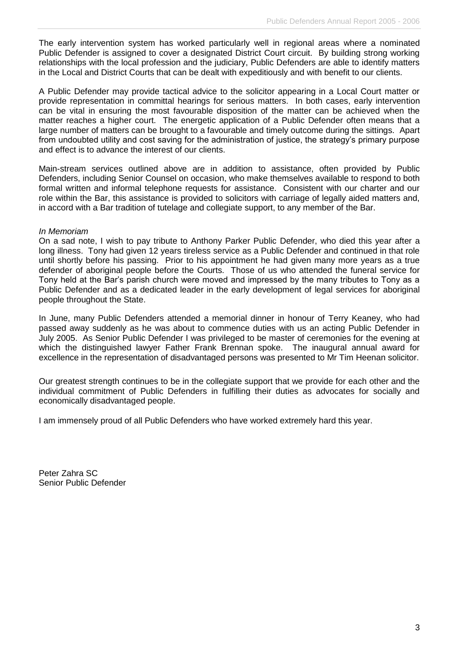The early intervention system has worked particularly well in regional areas where a nominated Public Defender is assigned to cover a designated District Court circuit. By building strong working relationships with the local profession and the judiciary, Public Defenders are able to identify matters in the Local and District Courts that can be dealt with expeditiously and with benefit to our clients.

A Public Defender may provide tactical advice to the solicitor appearing in a Local Court matter or provide representation in committal hearings for serious matters. In both cases, early intervention can be vital in ensuring the most favourable disposition of the matter can be achieved when the matter reaches a higher court. The energetic application of a Public Defender often means that a large number of matters can be brought to a favourable and timely outcome during the sittings. Apart from undoubted utility and cost saving for the administration of justice, the strategy's primary purpose and effect is to advance the interest of our clients.

Main-stream services outlined above are in addition to assistance, often provided by Public Defenders, including Senior Counsel on occasion, who make themselves available to respond to both formal written and informal telephone requests for assistance. Consistent with our charter and our role within the Bar, this assistance is provided to solicitors with carriage of legally aided matters and, in accord with a Bar tradition of tutelage and collegiate support, to any member of the Bar.

#### *In Memoriam*

On a sad note, I wish to pay tribute to Anthony Parker Public Defender, who died this year after a long illness. Tony had given 12 years tireless service as a Public Defender and continued in that role until shortly before his passing. Prior to his appointment he had given many more years as a true defender of aboriginal people before the Courts. Those of us who attended the funeral service for Tony held at the Bar's parish church were moved and impressed by the many tributes to Tony as a Public Defender and as a dedicated leader in the early development of legal services for aboriginal people throughout the State.

In June, many Public Defenders attended a memorial dinner in honour of Terry Keaney, who had passed away suddenly as he was about to commence duties with us an acting Public Defender in July 2005. As Senior Public Defender I was privileged to be master of ceremonies for the evening at which the distinguished lawyer Father Frank Brennan spoke. The inaugural annual award for excellence in the representation of disadvantaged persons was presented to Mr Tim Heenan solicitor.

Our greatest strength continues to be in the collegiate support that we provide for each other and the individual commitment of Public Defenders in fulfilling their duties as advocates for socially and economically disadvantaged people.

I am immensely proud of all Public Defenders who have worked extremely hard this year.

Peter Zahra SC Senior Public Defender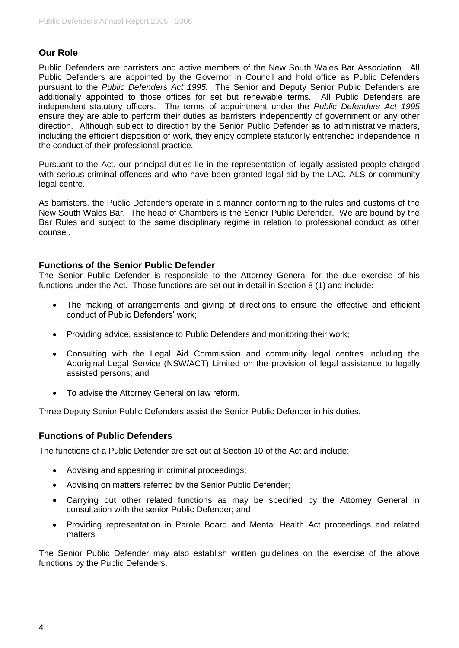#### <span id="page-7-0"></span>**Our Role**

Public Defenders are barristers and active members of the New South Wales Bar Association. All Public Defenders are appointed by the Governor in Council and hold office as Public Defenders pursuant to the *Public Defenders Act 1995.* The Senior and Deputy Senior Public Defenders are additionally appointed to those offices for set but renewable terms. All Public Defenders are independent statutory officers. The terms of appointment under the *Public Defenders Act 1995* ensure they are able to perform their duties as barristers independently of government or any other direction. Although subject to direction by the Senior Public Defender as to administrative matters, including the efficient disposition of work, they enjoy complete statutorily entrenched independence in the conduct of their professional practice.

Pursuant to the Act, our principal duties lie in the representation of legally assisted people charged with serious criminal offences and who have been granted legal aid by the LAC, ALS or community legal centre.

As barristers, the Public Defenders operate in a manner conforming to the rules and customs of the New South Wales Bar. The head of Chambers is the Senior Public Defender. We are bound by the Bar Rules and subject to the same disciplinary regime in relation to professional conduct as other counsel.

#### <span id="page-7-1"></span>**Functions of the Senior Public Defender**

The Senior Public Defender is responsible to the Attorney General for the due exercise of his functions under the Act. Those functions are set out in detail in Section 8 (1) and include**:**

- The making of arrangements and giving of directions to ensure the effective and efficient conduct of Public Defenders' work;
- Providing advice, assistance to Public Defenders and monitoring their work;
- Consulting with the Legal Aid Commission and community legal centres including the Aboriginal Legal Service (NSW/ACT) Limited on the provision of legal assistance to legally assisted persons; and
- To advise the Attorney General on law reform.

Three Deputy Senior Public Defenders assist the Senior Public Defender in his duties.

#### <span id="page-7-2"></span>**Functions of Public Defenders**

The functions of a Public Defender are set out at Section 10 of the Act and include:

- Advising and appearing in criminal proceedings;
- Advising on matters referred by the Senior Public Defender;
- Carrying out other related functions as may be specified by the Attorney General in consultation with the senior Public Defender; and
- Providing representation in Parole Board and Mental Health Act proceedings and related matters.

The Senior Public Defender may also establish written guidelines on the exercise of the above functions by the Public Defenders.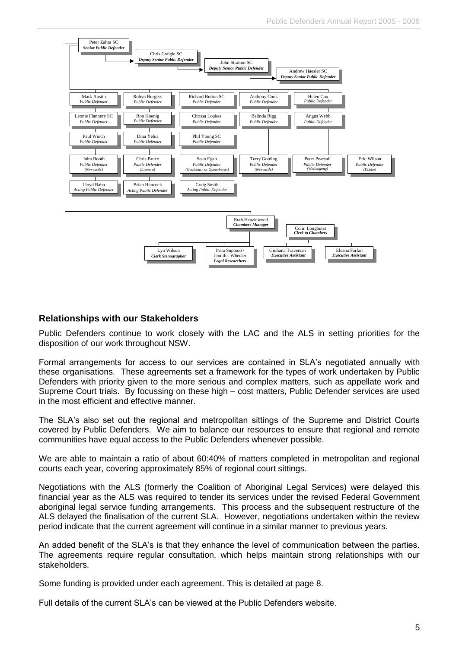

# <span id="page-8-0"></span>**Relationships with our Stakeholders**

Public Defenders continue to work closely with the LAC and the ALS in setting priorities for the disposition of our work throughout NSW.

Formal arrangements for access to our services are contained in SLA's negotiated annually with these organisations. These agreements set a framework for the types of work undertaken by Public Defenders with priority given to the more serious and complex matters, such as appellate work and Supreme Court trials. By focussing on these high – cost matters, Public Defender services are used in the most efficient and effective manner.

The SLA's also set out the regional and metropolitan sittings of the Supreme and District Courts covered by Public Defenders. We aim to balance our resources to ensure that regional and remote communities have equal access to the Public Defenders whenever possible.

We are able to maintain a ratio of about 60:40% of matters completed in metropolitan and regional courts each year, covering approximately 85% of regional court sittings.

Negotiations with the ALS (formerly the Coalition of Aboriginal Legal Services) were delayed this financial year as the ALS was required to tender its services under the revised Federal Government aboriginal legal service funding arrangements. This process and the subsequent restructure of the ALS delayed the finalisation of the current SLA. However, negotiations undertaken within the review period indicate that the current agreement will continue in a similar manner to previous years.

An added benefit of the SLA's is that they enhance the level of communication between the parties. The agreements require regular consultation, which helps maintain strong relationships with our stakeholders.

Some funding is provided under each agreement. This is detailed at page 8.

Full details of the current SLA's can be viewed at the Public Defenders website.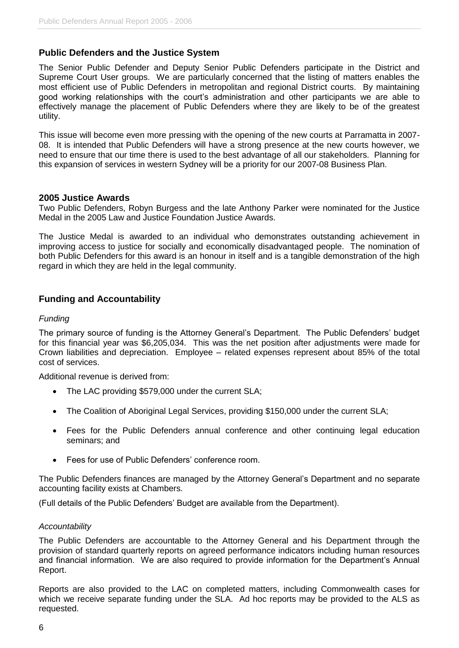#### <span id="page-9-0"></span>**Public Defenders and the Justice System**

The Senior Public Defender and Deputy Senior Public Defenders participate in the District and Supreme Court User groups. We are particularly concerned that the listing of matters enables the most efficient use of Public Defenders in metropolitan and regional District courts. By maintaining good working relationships with the court's administration and other participants we are able to effectively manage the placement of Public Defenders where they are likely to be of the greatest utility.

This issue will become even more pressing with the opening of the new courts at Parramatta in 2007- 08. It is intended that Public Defenders will have a strong presence at the new courts however, we need to ensure that our time there is used to the best advantage of all our stakeholders. Planning for this expansion of services in western Sydney will be a priority for our 2007-08 Business Plan.

#### <span id="page-9-1"></span>**2005 Justice Awards**

Two Public Defenders, Robyn Burgess and the late Anthony Parker were nominated for the Justice Medal in the 2005 Law and Justice Foundation Justice Awards.

The Justice Medal is awarded to an individual who demonstrates outstanding achievement in improving access to justice for socially and economically disadvantaged people. The nomination of both Public Defenders for this award is an honour in itself and is a tangible demonstration of the high regard in which they are held in the legal community.

#### <span id="page-9-2"></span>**Funding and Accountability**

#### *Funding*

The primary source of funding is the Attorney General's Department. The Public Defenders' budget for this financial year was \$6,205,034. This was the net position after adjustments were made for Crown liabilities and depreciation. Employee – related expenses represent about 85% of the total cost of services.

Additional revenue is derived from:

- The LAC providing \$579,000 under the current SLA;
- The Coalition of Aboriginal Legal Services, providing \$150,000 under the current SLA;
- Fees for the Public Defenders annual conference and other continuing legal education seminars; and
- Fees for use of Public Defenders' conference room.

The Public Defenders finances are managed by the Attorney General's Department and no separate accounting facility exists at Chambers.

(Full details of the Public Defenders' Budget are available from the Department).

#### *Accountability*

The Public Defenders are accountable to the Attorney General and his Department through the provision of standard quarterly reports on agreed performance indicators including human resources and financial information. We are also required to provide information for the Department's Annual Report.

Reports are also provided to the LAC on completed matters, including Commonwealth cases for which we receive separate funding under the SLA. Ad hoc reports may be provided to the ALS as requested.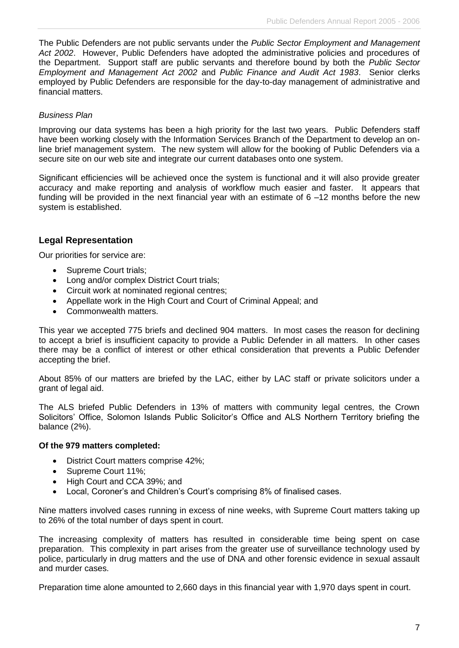The Public Defenders are not public servants under the *Public Sector Employment and Management Act 2002*. However, Public Defenders have adopted the administrative policies and procedures of the Department. Support staff are public servants and therefore bound by both the *Public Sector Employment and Management Act 2002* and *Public Finance and Audit Act 1983*. Senior clerks employed by Public Defenders are responsible for the day-to-day management of administrative and financial matters.

#### *Business Plan*

Improving our data systems has been a high priority for the last two years. Public Defenders staff have been working closely with the Information Services Branch of the Department to develop an online brief management system. The new system will allow for the booking of Public Defenders via a secure site on our web site and integrate our current databases onto one system.

Significant efficiencies will be achieved once the system is functional and it will also provide greater accuracy and make reporting and analysis of workflow much easier and faster. It appears that funding will be provided in the next financial year with an estimate of 6 –12 months before the new system is established.

# <span id="page-10-0"></span>**Legal Representation**

Our priorities for service are:

- Supreme Court trials;
- Long and/or complex District Court trials;
- Circuit work at nominated regional centres;
- Appellate work in the High Court and Court of Criminal Appeal; and
- Commonwealth matters.

This year we accepted 775 briefs and declined 904 matters. In most cases the reason for declining to accept a brief is insufficient capacity to provide a Public Defender in all matters. In other cases there may be a conflict of interest or other ethical consideration that prevents a Public Defender accepting the brief.

About 85% of our matters are briefed by the LAC, either by LAC staff or private solicitors under a grant of legal aid.

The ALS briefed Public Defenders in 13% of matters with community legal centres, the Crown Solicitors' Office, Solomon Islands Public Solicitor's Office and ALS Northern Territory briefing the balance (2%).

#### **Of the 979 matters completed:**

- District Court matters comprise 42%;
- Supreme Court 11%;
- High Court and CCA 39%; and
- Local, Coroner's and Children's Court's comprising 8% of finalised cases.

Nine matters involved cases running in excess of nine weeks, with Supreme Court matters taking up to 26% of the total number of days spent in court.

The increasing complexity of matters has resulted in considerable time being spent on case preparation. This complexity in part arises from the greater use of surveillance technology used by police, particularly in drug matters and the use of DNA and other forensic evidence in sexual assault and murder cases.

Preparation time alone amounted to 2,660 days in this financial year with 1,970 days spent in court.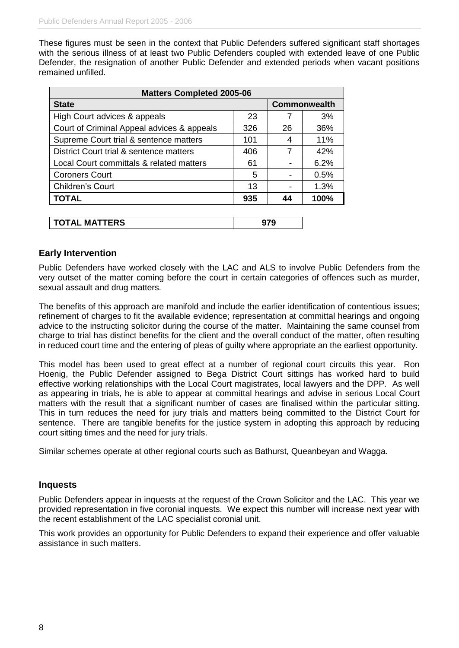These figures must be seen in the context that Public Defenders suffered significant staff shortages with the serious illness of at least two Public Defenders coupled with extended leave of one Public Defender, the resignation of another Public Defender and extended periods when vacant positions remained unfilled.

| <b>Matters Completed 2005-06</b>           |     |    |                     |
|--------------------------------------------|-----|----|---------------------|
| <b>State</b>                               |     |    | <b>Commonwealth</b> |
| High Court advices & appeals               | 23  |    | 3%                  |
| Court of Criminal Appeal advices & appeals | 326 | 26 | 36%                 |
| Supreme Court trial & sentence matters     | 101 | 4  | 11%                 |
| District Court trial & sentence matters    | 406 | 7  | 42%                 |
| Local Court committals & related matters   | 61  |    | 6.2%                |
| <b>Coroners Court</b>                      | 5   |    | 0.5%                |
| Children's Court                           | 13  |    | 1.3%                |
| <b>TOTAL</b>                               | 935 | 44 | 100%                |
|                                            |     |    |                     |

| <b>MATTERS</b><br><b>TOTAL</b> | u<br>ч.<br>ง เ ง |
|--------------------------------|------------------|
|--------------------------------|------------------|

# <span id="page-11-0"></span>**Early Intervention**

Public Defenders have worked closely with the LAC and ALS to involve Public Defenders from the very outset of the matter coming before the court in certain categories of offences such as murder, sexual assault and drug matters.

The benefits of this approach are manifold and include the earlier identification of contentious issues; refinement of charges to fit the available evidence; representation at committal hearings and ongoing advice to the instructing solicitor during the course of the matter. Maintaining the same counsel from charge to trial has distinct benefits for the client and the overall conduct of the matter, often resulting in reduced court time and the entering of pleas of guilty where appropriate an the earliest opportunity.

This model has been used to great effect at a number of regional court circuits this year. Ron Hoenig, the Public Defender assigned to Bega District Court sittings has worked hard to build effective working relationships with the Local Court magistrates, local lawyers and the DPP. As well as appearing in trials, he is able to appear at committal hearings and advise in serious Local Court matters with the result that a significant number of cases are finalised within the particular sitting. This in turn reduces the need for jury trials and matters being committed to the District Court for sentence. There are tangible benefits for the justice system in adopting this approach by reducing court sitting times and the need for jury trials.

<span id="page-11-1"></span>Similar schemes operate at other regional courts such as Bathurst, Queanbeyan and Wagga.

#### **Inquests**

Public Defenders appear in inquests at the request of the Crown Solicitor and the LAC. This year we provided representation in five coronial inquests. We expect this number will increase next year with the recent establishment of the LAC specialist coronial unit.

<span id="page-11-2"></span>This work provides an opportunity for Public Defenders to expand their experience and offer valuable assistance in such matters.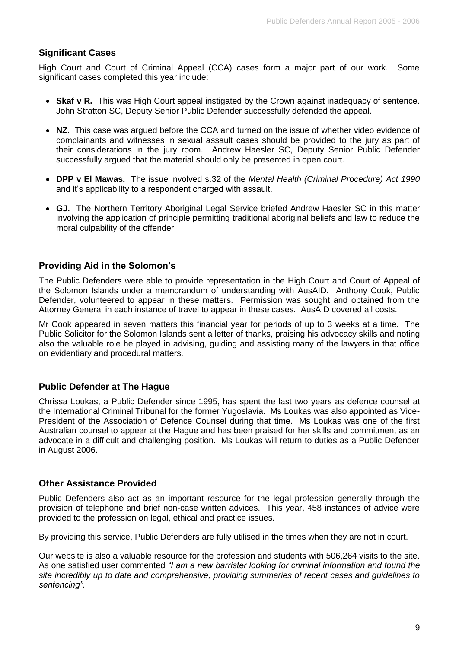# **Significant Cases**

High Court and Court of Criminal Appeal (CCA) cases form a major part of our work. Some significant cases completed this year include:

- **Skaf v R.** This was High Court appeal instigated by the Crown against inadequacy of sentence. John Stratton SC, Deputy Senior Public Defender successfully defended the appeal.
- **NZ**. This case was argued before the CCA and turned on the issue of whether video evidence of complainants and witnesses in sexual assault cases should be provided to the jury as part of their considerations in the jury room. Andrew Haesler SC, Deputy Senior Public Defender successfully argued that the material should only be presented in open court.
- **DPP v El Mawas.** The issue involved s.32 of the *Mental Health (Criminal Procedure) Act 1990*  and it's applicability to a respondent charged with assault.
- <span id="page-12-0"></span> **GJ.** The Northern Territory Aboriginal Legal Service briefed Andrew Haesler SC in this matter involving the application of principle permitting traditional aboriginal beliefs and law to reduce the moral culpability of the offender.

# **Providing Aid in the Solomon's**

The Public Defenders were able to provide representation in the High Court and Court of Appeal of the Solomon Islands under a memorandum of understanding with AusAID. Anthony Cook, Public Defender, volunteered to appear in these matters. Permission was sought and obtained from the Attorney General in each instance of travel to appear in these cases. AusAID covered all costs.

Mr Cook appeared in seven matters this financial year for periods of up to 3 weeks at a time. The Public Solicitor for the Solomon Islands sent a letter of thanks, praising his advocacy skills and noting also the valuable role he played in advising, guiding and assisting many of the lawyers in that office on evidentiary and procedural matters.

# <span id="page-12-1"></span>**Public Defender at The Hague**

Chrissa Loukas, a Public Defender since 1995, has spent the last two years as defence counsel at the International Criminal Tribunal for the former Yugoslavia. Ms Loukas was also appointed as Vice-President of the Association of Defence Counsel during that time. Ms Loukas was one of the first Australian counsel to appear at the Hague and has been praised for her skills and commitment as an advocate in a difficult and challenging position. Ms Loukas will return to duties as a Public Defender in August 2006.

# <span id="page-12-2"></span>**Other Assistance Provided**

Public Defenders also act as an important resource for the legal profession generally through the provision of telephone and brief non-case written advices. This year, 458 instances of advice were provided to the profession on legal, ethical and practice issues.

By providing this service, Public Defenders are fully utilised in the times when they are not in court.

Our website is also a valuable resource for the profession and students with 506,264 visits to the site. As one satisfied user commented *"I am a new barrister looking for criminal information and found the site incredibly up to date and comprehensive, providing summaries of recent cases and guidelines to sentencing"*.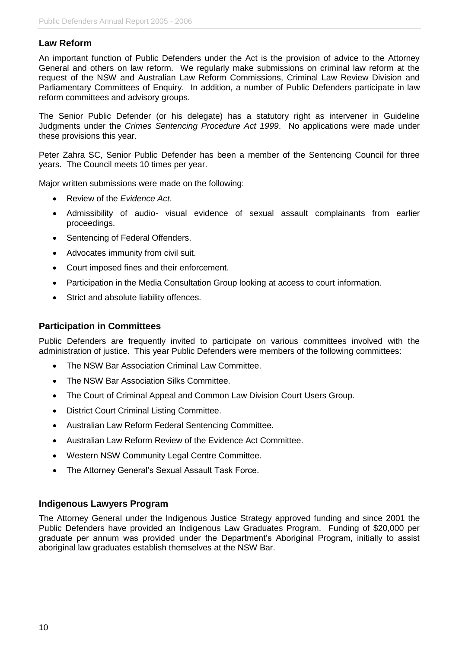# <span id="page-13-0"></span>**Law Reform**

An important function of Public Defenders under the Act is the provision of advice to the Attorney General and others on law reform. We regularly make submissions on criminal law reform at the request of the NSW and Australian Law Reform Commissions, Criminal Law Review Division and Parliamentary Committees of Enquiry. In addition, a number of Public Defenders participate in law reform committees and advisory groups.

The Senior Public Defender (or his delegate) has a statutory right as intervener in Guideline Judgments under the *Crimes Sentencing Procedure Act 1999*. No applications were made under these provisions this year.

Peter Zahra SC, Senior Public Defender has been a member of the Sentencing Council for three years. The Council meets 10 times per year.

Major written submissions were made on the following:

- Review of the *Evidence Act*.
- Admissibility of audio- visual evidence of sexual assault complainants from earlier proceedings.
- Sentencing of Federal Offenders.
- Advocates immunity from civil suit.
- Court imposed fines and their enforcement.
- Participation in the Media Consultation Group looking at access to court information.
- Strict and absolute liability offences.

#### <span id="page-13-1"></span>**Participation in Committees**

Public Defenders are frequently invited to participate on various committees involved with the administration of justice. This year Public Defenders were members of the following committees:

- The NSW Bar Association Criminal Law Committee.
- The NSW Bar Association Silks Committee.
- The Court of Criminal Appeal and Common Law Division Court Users Group.
- District Court Criminal Listing Committee.
- Australian Law Reform Federal Sentencing Committee.
- Australian Law Reform Review of the Evidence Act Committee.
- Western NSW Community Legal Centre Committee.
- The Attorney General's Sexual Assault Task Force.

#### <span id="page-13-2"></span>**Indigenous Lawyers Program**

The Attorney General under the Indigenous Justice Strategy approved funding and since 2001 the Public Defenders have provided an Indigenous Law Graduates Program. Funding of \$20,000 per graduate per annum was provided under the Department's Aboriginal Program, initially to assist aboriginal law graduates establish themselves at the NSW Bar.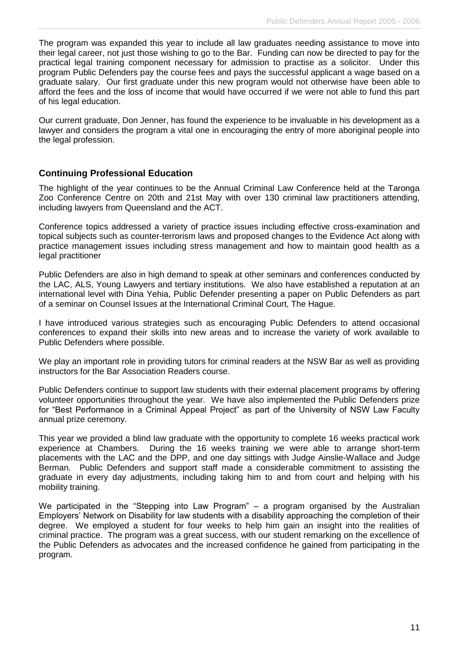The program was expanded this year to include all law graduates needing assistance to move into their legal career, not just those wishing to go to the Bar. Funding can now be directed to pay for the practical legal training component necessary for admission to practise as a solicitor. Under this program Public Defenders pay the course fees and pays the successful applicant a wage based on a graduate salary. Our first graduate under this new program would not otherwise have been able to afford the fees and the loss of income that would have occurred if we were not able to fund this part of his legal education.

Our current graduate, Don Jenner, has found the experience to be invaluable in his development as a lawyer and considers the program a vital one in encouraging the entry of more aboriginal people into the legal profession.

# <span id="page-14-0"></span>**Continuing Professional Education**

The highlight of the year continues to be the Annual Criminal Law Conference held at the Taronga Zoo Conference Centre on 20th and 21st May with over 130 criminal law practitioners attending, including lawyers from Queensland and the ACT.

Conference topics addressed a variety of practice issues including effective cross-examination and topical subjects such as counter-terrorism laws and proposed changes to the Evidence Act along with practice management issues including stress management and how to maintain good health as a legal practitioner

Public Defenders are also in high demand to speak at other seminars and conferences conducted by the LAC, ALS, Young Lawyers and tertiary institutions. We also have established a reputation at an international level with Dina Yehia, Public Defender presenting a paper on Public Defenders as part of a seminar on Counsel Issues at the International Criminal Court, The Hague.

I have introduced various strategies such as encouraging Public Defenders to attend occasional conferences to expand their skills into new areas and to increase the variety of work available to Public Defenders where possible.

We play an important role in providing tutors for criminal readers at the NSW Bar as well as providing instructors for the Bar Association Readers course.

Public Defenders continue to support law students with their external placement programs by offering volunteer opportunities throughout the year. We have also implemented the Public Defenders prize for "Best Performance in a Criminal Appeal Project" as part of the University of NSW Law Faculty annual prize ceremony.

This year we provided a blind law graduate with the opportunity to complete 16 weeks practical work experience at Chambers. During the 16 weeks training we were able to arrange short-term placements with the LAC and the DPP, and one day sittings with Judge Ainslie-Wallace and Judge Berman. Public Defenders and support staff made a considerable commitment to assisting the graduate in every day adjustments, including taking him to and from court and helping with his mobility training.

<span id="page-14-1"></span>We participated in the "Stepping into Law Program" – a program organised by the Australian Employers' Network on Disability for law students with a disability approaching the completion of their degree. We employed a student for four weeks to help him gain an insight into the realities of criminal practice. The program was a great success, with our student remarking on the excellence of the Public Defenders as advocates and the increased confidence he gained from participating in the program.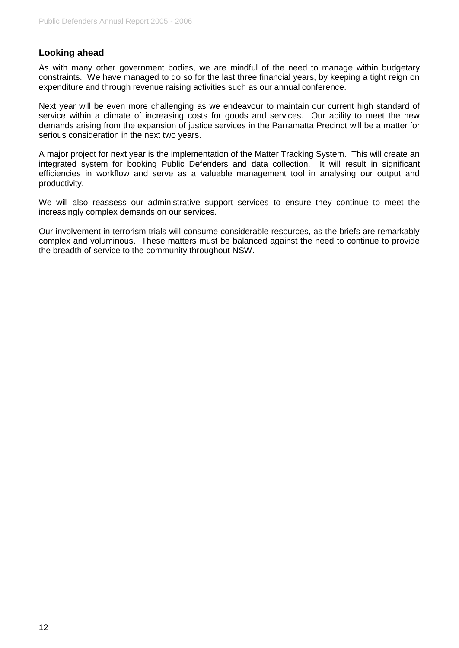### **Looking ahead**

As with many other government bodies, we are mindful of the need to manage within budgetary constraints. We have managed to do so for the last three financial years, by keeping a tight reign on expenditure and through revenue raising activities such as our annual conference.

Next year will be even more challenging as we endeavour to maintain our current high standard of service within a climate of increasing costs for goods and services. Our ability to meet the new demands arising from the expansion of justice services in the Parramatta Precinct will be a matter for serious consideration in the next two years.

A major project for next year is the implementation of the Matter Tracking System. This will create an integrated system for booking Public Defenders and data collection. It will result in significant efficiencies in workflow and serve as a valuable management tool in analysing our output and productivity.

We will also reassess our administrative support services to ensure they continue to meet the increasingly complex demands on our services.

Our involvement in terrorism trials will consume considerable resources, as the briefs are remarkably complex and voluminous. These matters must be balanced against the need to continue to provide the breadth of service to the community throughout NSW.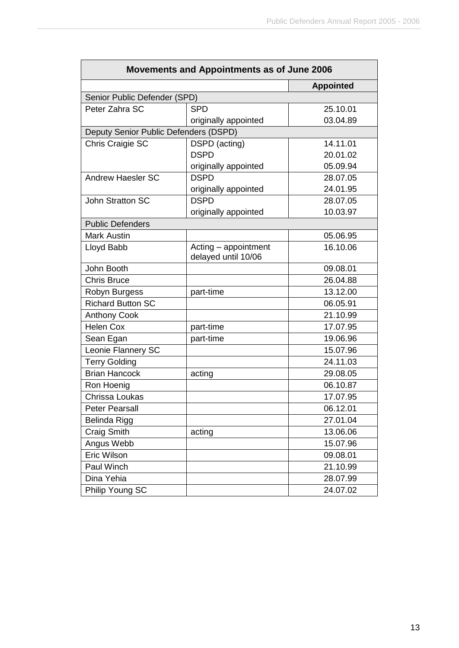| Movements and Appointments as of June 2006 |                                             |                  |  |
|--------------------------------------------|---------------------------------------------|------------------|--|
|                                            |                                             | <b>Appointed</b> |  |
| Senior Public Defender (SPD)               |                                             |                  |  |
| Peter Zahra SC                             | <b>SPD</b>                                  | 25.10.01         |  |
|                                            | originally appointed                        | 03.04.89         |  |
| Deputy Senior Public Defenders (DSPD)      |                                             |                  |  |
| Chris Craigie SC                           | DSPD (acting)                               | 14.11.01         |  |
|                                            | <b>DSPD</b>                                 | 20.01.02         |  |
|                                            | originally appointed                        | 05.09.94         |  |
| <b>Andrew Haesler SC</b>                   | <b>DSPD</b>                                 | 28.07.05         |  |
|                                            | originally appointed                        | 24.01.95         |  |
| <b>John Stratton SC</b>                    | <b>DSPD</b>                                 | 28.07.05         |  |
|                                            | originally appointed                        | 10.03.97         |  |
| <b>Public Defenders</b>                    |                                             |                  |  |
| <b>Mark Austin</b>                         |                                             | 05.06.95         |  |
| Lloyd Babb                                 | Acting - appointment<br>delayed until 10/06 | 16.10.06         |  |
| John Booth                                 |                                             | 09.08.01         |  |
| <b>Chris Bruce</b>                         |                                             | 26.04.88         |  |
| Robyn Burgess                              | part-time                                   | 13.12.00         |  |
| <b>Richard Button SC</b>                   |                                             | 06.05.91         |  |
| <b>Anthony Cook</b>                        |                                             | 21.10.99         |  |
| <b>Helen Cox</b>                           | part-time                                   | 17.07.95         |  |
| Sean Egan                                  | part-time                                   | 19.06.96         |  |
| Leonie Flannery SC                         |                                             | 15.07.96         |  |
| <b>Terry Golding</b>                       |                                             | 24.11.03         |  |
| <b>Brian Hancock</b>                       | acting                                      | 29.08.05         |  |
| Ron Hoenig                                 |                                             | 06.10.87         |  |
| Chrissa Loukas                             |                                             | 17.07.95         |  |
| Peter Pearsall                             |                                             | 06.12.01         |  |
| Belinda Rigg                               |                                             | 27.01.04         |  |
| Craig Smith                                | acting                                      | 13.06.06         |  |
| Angus Webb                                 |                                             | 15.07.96         |  |
| Eric Wilson                                |                                             | 09.08.01         |  |
| Paul Winch                                 |                                             | 21.10.99         |  |
| Dina Yehia                                 |                                             | 28.07.99         |  |
| Philip Young SC                            |                                             | 24.07.02         |  |